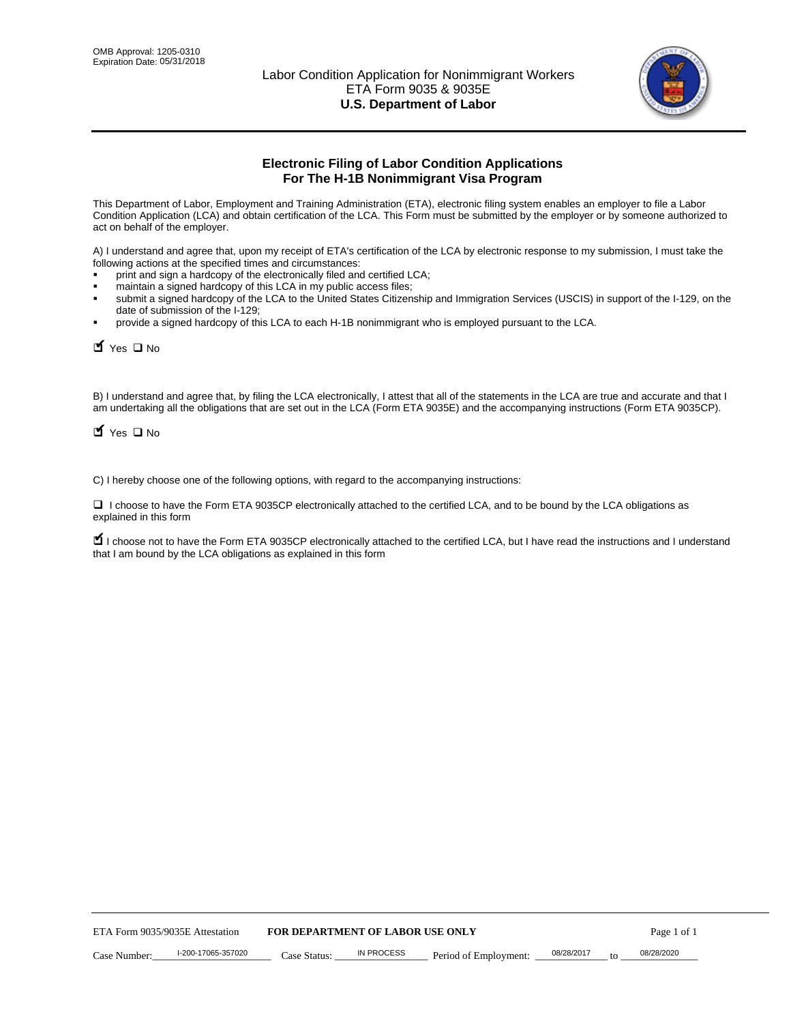

# **Electronic Filing of Labor Condition Applications For The H-1B Nonimmigrant Visa Program**

This Department of Labor, Employment and Training Administration (ETA), electronic filing system enables an employer to file a Labor Condition Application (LCA) and obtain certification of the LCA. This Form must be submitted by the employer or by someone authorized to act on behalf of the employer.

A) I understand and agree that, upon my receipt of ETA's certification of the LCA by electronic response to my submission, I must take the following actions at the specified times and circumstances:

- print and sign a hardcopy of the electronically filed and certified LCA;
- maintain a signed hardcopy of this LCA in my public access files;
- submit a signed hardcopy of the LCA to the United States Citizenship and Immigration Services (USCIS) in support of the I-129, on the date of submission of the I-129;
- provide a signed hardcopy of this LCA to each H-1B nonimmigrant who is employed pursuant to the LCA.

| Yes O No                                                                                                                                                                                                                                                                                                               |                                  |                   |                       |                  |             |
|------------------------------------------------------------------------------------------------------------------------------------------------------------------------------------------------------------------------------------------------------------------------------------------------------------------------|----------------------------------|-------------------|-----------------------|------------------|-------------|
| B) I understand and agree that, by filing the LCA electronically, I attest that all of the statements in the LCA are true and accurate and th<br>am undertaking all the obligations that are set out in the LCA (Form ETA 9035E) and the accompanying instructions (Form ETA 9035CF<br>$\blacksquare$ Yes $\square$ No |                                  |                   |                       |                  |             |
| C) I hereby choose one of the following options, with regard to the accompanying instructions:                                                                                                                                                                                                                         |                                  |                   |                       |                  |             |
| □ I choose to have the Form ETA 9035CP electronically attached to the certified LCA, and to be bound by the LCA obligations as<br>explained in this form                                                                                                                                                               |                                  |                   |                       |                  |             |
| I choose not to have the Form ETA 9035CP electronically attached to the certified LCA, but I have read the instructions and I unders<br>that I am bound by the LCA obligations as explained in this form                                                                                                               |                                  |                   |                       |                  |             |
|                                                                                                                                                                                                                                                                                                                        |                                  |                   |                       |                  |             |
|                                                                                                                                                                                                                                                                                                                        |                                  |                   |                       |                  |             |
|                                                                                                                                                                                                                                                                                                                        |                                  |                   |                       |                  |             |
|                                                                                                                                                                                                                                                                                                                        |                                  |                   |                       |                  |             |
|                                                                                                                                                                                                                                                                                                                        |                                  |                   |                       |                  |             |
|                                                                                                                                                                                                                                                                                                                        |                                  |                   |                       |                  |             |
|                                                                                                                                                                                                                                                                                                                        |                                  |                   |                       |                  |             |
|                                                                                                                                                                                                                                                                                                                        |                                  |                   |                       |                  |             |
|                                                                                                                                                                                                                                                                                                                        |                                  |                   |                       |                  |             |
|                                                                                                                                                                                                                                                                                                                        |                                  |                   |                       |                  |             |
| ETA Form 9035/9035E Attestation                                                                                                                                                                                                                                                                                        | FOR DEPARTMENT OF LABOR USE ONLY |                   |                       |                  | Page 1 of 1 |
| I-200-17065-357020<br>Case Number:                                                                                                                                                                                                                                                                                     | Case Status:                     | <b>IN PROCESS</b> | Period of Employment: | 08/28/2017<br>to | 08/28/2020  |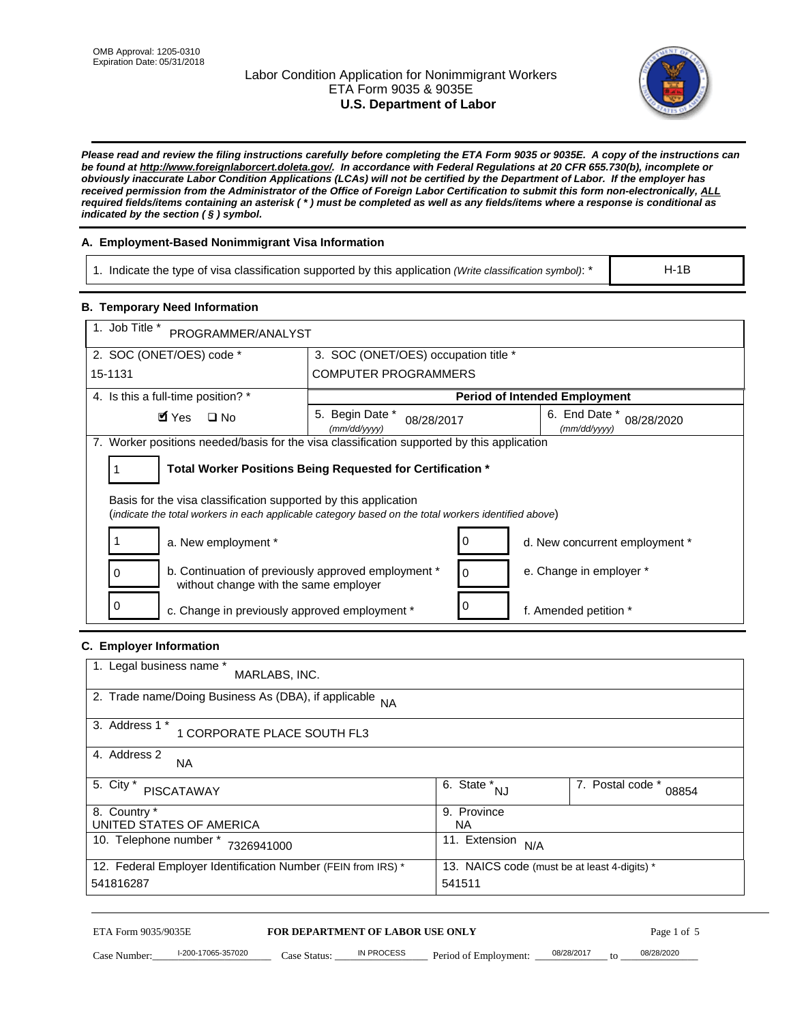# Labor Condition Application for Nonimmigrant Workers ETA Form 9035 & 9035E **U.S. Department of Labor**



*Please read and review the filing instructions carefully before completing the ETA Form 9035 or 9035E. A copy of the instructions can be found at http://www.foreignlaborcert.doleta.gov/. In accordance with Federal Regulations at 20 CFR 655.730(b), incomplete or obviously inaccurate Labor Condition Applications (LCAs) will not be certified by the Department of Labor. If the employer has received permission from the Administrator of the Office of Foreign Labor Certification to submit this form non-electronically, ALL required fields/items containing an asterisk ( \* ) must be completed as well as any fields/items where a response is conditional as indicated by the section ( § ) symbol.* 

# **A. Employment-Based Nonimmigrant Visa Information**

1. Indicate the type of visa classification supported by this application *(Write classification symbol)*: \*

# **B. Temporary Need Information**

| <b>B. Temporary Need Information</b>                                                                                                                                    |                                                            |                                                       |  |  |  |
|-------------------------------------------------------------------------------------------------------------------------------------------------------------------------|------------------------------------------------------------|-------------------------------------------------------|--|--|--|
| 1. Job Title *<br>PROGRAMMER/ANALYST                                                                                                                                    |                                                            |                                                       |  |  |  |
| 2. SOC (ONET/OES) code *                                                                                                                                                | 3. SOC (ONET/OES) occupation title *                       |                                                       |  |  |  |
| 15-1131                                                                                                                                                                 | <b>COMPUTER PROGRAMMERS</b>                                |                                                       |  |  |  |
|                                                                                                                                                                         |                                                            |                                                       |  |  |  |
| 4. Is this a full-time position? *                                                                                                                                      |                                                            | <b>Period of Intended Employment</b><br>6. End Date * |  |  |  |
| $\blacksquare$ Yes<br>$\square$ No                                                                                                                                      | 5. Begin Date *<br>08/28/2017<br>(mm/dd/yyyy)              | 08/28/2020<br>(mm/dd/yyyy)                            |  |  |  |
| 7. Worker positions needed/basis for the visa classification supported by this application                                                                              |                                                            |                                                       |  |  |  |
| 1                                                                                                                                                                       | Total Worker Positions Being Requested for Certification * |                                                       |  |  |  |
|                                                                                                                                                                         |                                                            |                                                       |  |  |  |
| Basis for the visa classification supported by this application<br>(indicate the total workers in each applicable category based on the total workers identified above) |                                                            |                                                       |  |  |  |
|                                                                                                                                                                         |                                                            |                                                       |  |  |  |
| 1<br>a. New employment *                                                                                                                                                | 0                                                          | d. New concurrent employment *                        |  |  |  |
| b. Continuation of previously approved employment *<br>0<br>without change with the same employer                                                                       | 0                                                          | e. Change in employer *                               |  |  |  |
| 0<br>c. Change in previously approved employment *                                                                                                                      | 0                                                          | f. Amended petition *                                 |  |  |  |
| C. Employer Information                                                                                                                                                 |                                                            |                                                       |  |  |  |
| 1. Legal business name *                                                                                                                                                |                                                            |                                                       |  |  |  |
| MARLABS, INC.                                                                                                                                                           |                                                            |                                                       |  |  |  |
| 2. Trade name/Doing Business As (DBA), if applicable                                                                                                                    | <b>NA</b>                                                  |                                                       |  |  |  |
| 3. Address 1 *<br>1 CORPORATE PLACE SOUTH FL3                                                                                                                           |                                                            |                                                       |  |  |  |
| 4. Address 2<br>NA.                                                                                                                                                     |                                                            |                                                       |  |  |  |
| 5. City *<br><b>PISCATAWAY</b>                                                                                                                                          | $\overline{6. \text{ State}}^*_{NJ}$                       | 7. Postal code *<br>08854                             |  |  |  |
| 8. Country *<br>UNITED STATES OF AMERICA                                                                                                                                | 9. Province                                                |                                                       |  |  |  |
| 10. Telephone number * 7326941000                                                                                                                                       | <b>NA</b><br>11. Extension $N/A$                           |                                                       |  |  |  |
|                                                                                                                                                                         |                                                            |                                                       |  |  |  |
| 12. Federal Employer Identification Number (FEIN from IRS) *<br>541816287                                                                                               | 541511                                                     | 13. NAICS code (must be at least 4-digits) *          |  |  |  |
|                                                                                                                                                                         |                                                            |                                                       |  |  |  |

# **C. Employer Information**

| 1. Legal business name *<br>MARLABS, INC.                    |                                              |                           |
|--------------------------------------------------------------|----------------------------------------------|---------------------------|
| 2. Trade name/Doing Business As (DBA), if applicable NA      |                                              |                           |
| 3. Address 1 *<br>1 CORPORATE PLACE SOUTH FL3                |                                              |                           |
| 4. Address 2<br><b>NA</b>                                    |                                              |                           |
| 5. City *<br><b>PISCATAWAY</b>                               | 6. State *<br><b>NJ</b>                      | 7. Postal code *<br>08854 |
| 8. Country *                                                 | 9. Province                                  |                           |
| UNITED STATES OF AMERICA                                     | NA.                                          |                           |
| 10. Telephone number *<br>7326941000                         | 11. Extension<br>N/A                         |                           |
| 12. Federal Employer Identification Number (FEIN from IRS) * | 13. NAICS code (must be at least 4-digits) * |                           |
| 541816287                                                    | 541511                                       |                           |

# ETA Form 9035/9035E **FOR DEPARTMENT OF LABOR USE ONLY** Page 1 of 5<br>Case Number: 1-200-17065-357020 Case Status: IN PROCESS Period of Employment: 08/28/2017 to 08/28/2020

Case Number: 1-200-17065-357020 Case Status: IN PROCESS Period of Employment: 08/28/2017 to 08/28/2020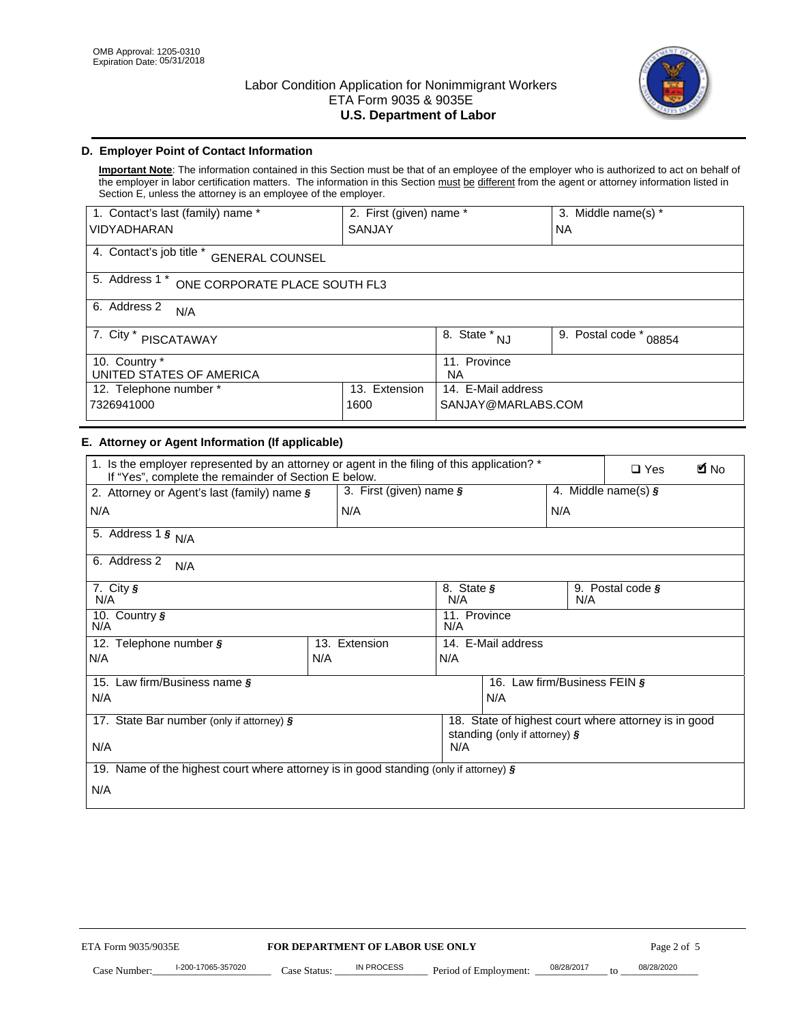

# **D. Employer Point of Contact Information**

**Important Note**: The information contained in this Section must be that of an employee of the employer who is authorized to act on behalf of the employer in labor certification matters. The information in this Section must be different from the agent or attorney information listed in Section E, unless the attorney is an employee of the employer.

| 1. Contact's last (family) name *                  | 2. First (given) name * |                                  | 3. Middle name(s) *       |  |  |
|----------------------------------------------------|-------------------------|----------------------------------|---------------------------|--|--|
| <b>VIDYADHARAN</b>                                 | <b>SANJAY</b>           |                                  | <b>NA</b>                 |  |  |
| 4. Contact's job title *<br><b>GENERAL COUNSEL</b> |                         |                                  |                           |  |  |
| 5. Address 1 *<br>ONE CORPORATE PLACE SOUTH FL3    |                         |                                  |                           |  |  |
| 6. Address 2<br>N/A                                |                         |                                  |                           |  |  |
| 7. City *<br><b>PISCATAWAY</b>                     |                         | $\overline{8}$ . State $*$<br>NJ | 9. Postal code *<br>08854 |  |  |
| 10. Country *<br>UNITED STATES OF AMERICA          |                         | 11. Province<br><b>NA</b>        |                           |  |  |
| 12. Telephone number *<br>Extension<br>13.         |                         | 14. E-Mail address               |                           |  |  |
| 7326941000<br>1600                                 |                         | SANJAY@MARLABS.COM               |                           |  |  |

# **E. Attorney or Agent Information (If applicable)**

| VIDYADHARAN                                                                                                                                         | SANJAY                           |                                           |                                          | <b>NA</b>                    |                                                      |             |
|-----------------------------------------------------------------------------------------------------------------------------------------------------|----------------------------------|-------------------------------------------|------------------------------------------|------------------------------|------------------------------------------------------|-------------|
| 4. Contact's job title * GENERAL COUNSEL                                                                                                            |                                  |                                           |                                          |                              |                                                      |             |
| 5. Address 1 * ONE CORPORATE PLACE SOUTH FL3                                                                                                        |                                  |                                           |                                          |                              |                                                      |             |
| 6. Address 2<br>N/A                                                                                                                                 |                                  |                                           |                                          |                              |                                                      |             |
| 7. City * PISCATAWAY                                                                                                                                |                                  | $\overline{\phantom{a}}$ 8. State $^*$ NJ |                                          | 9. Postal code *             | 08854                                                |             |
| 10. Country *<br>UNITED STATES OF AMERICA                                                                                                           |                                  | 11. Province<br><b>NA</b>                 |                                          |                              |                                                      |             |
| 12. Telephone number *<br>7326941000                                                                                                                | 13. Extension<br>1600            |                                           | 14. E-Mail address<br>SANJAY@MARLABS.COM |                              |                                                      |             |
| E. Attorney or Agent Information (If applicable)                                                                                                    |                                  |                                           |                                          |                              |                                                      |             |
| 1. Is the employer represented by an attorney or agent in the filing of this application? *<br>If "Yes", complete the remainder of Section E below. |                                  |                                           |                                          |                              | $\Box$ Yes                                           | <b>M</b> No |
| 2. Attorney or Agent's last (family) name §                                                                                                         | 3. First (given) name §          |                                           |                                          |                              | 4. Middle name(s) $\sqrt{s}$                         |             |
| N/A                                                                                                                                                 | N/A                              |                                           |                                          | N/A                          |                                                      |             |
| 5. Address 1 $\frac{1}{9}$ N/A                                                                                                                      |                                  |                                           |                                          |                              |                                                      |             |
| 6. Address 2<br>N/A                                                                                                                                 |                                  |                                           |                                          |                              |                                                      |             |
| 7. City §<br>N/A                                                                                                                                    |                                  | 8. State §<br>N/A                         |                                          | N/A                          | 9. Postal code §                                     |             |
| 10. Country §<br>N/A                                                                                                                                |                                  | 11. Province<br>N/A                       |                                          |                              |                                                      |             |
| 12. Telephone number §                                                                                                                              | 13. Extension                    | 14. E-Mail address                        |                                          |                              |                                                      |             |
| N/A                                                                                                                                                 | N/A                              | N/A                                       |                                          |                              |                                                      |             |
| 15. Law firm/Business name §                                                                                                                        |                                  |                                           |                                          | 16. Law firm/Business FEIN § |                                                      |             |
| N/A                                                                                                                                                 |                                  |                                           | N/A                                      |                              |                                                      |             |
| 17. State Bar number (only if attorney) §                                                                                                           |                                  |                                           | standing (only if attorney) §            |                              | 18. State of highest court where attorney is in good |             |
| N/A                                                                                                                                                 |                                  | N/A                                       |                                          |                              |                                                      |             |
| 19. Name of the highest court where attorney is in good standing (only if attorney) §                                                               |                                  |                                           |                                          |                              |                                                      |             |
| N/A                                                                                                                                                 |                                  |                                           |                                          |                              |                                                      |             |
|                                                                                                                                                     |                                  |                                           |                                          |                              |                                                      |             |
|                                                                                                                                                     |                                  |                                           |                                          |                              |                                                      |             |
|                                                                                                                                                     |                                  |                                           |                                          |                              |                                                      |             |
|                                                                                                                                                     |                                  |                                           |                                          |                              |                                                      |             |
|                                                                                                                                                     |                                  |                                           |                                          |                              |                                                      |             |
|                                                                                                                                                     |                                  |                                           |                                          |                              |                                                      |             |
|                                                                                                                                                     |                                  |                                           |                                          |                              |                                                      |             |
| ETA Form 9035/9035E                                                                                                                                 | FOR DEPARTMENT OF LABOR USE ONLY |                                           |                                          |                              | Page 2 of 5                                          |             |
| I-200-17065-357020                                                                                                                                  | IN PROCESS                       |                                           |                                          | 08/28/2017                   | 08/28/2020                                           |             |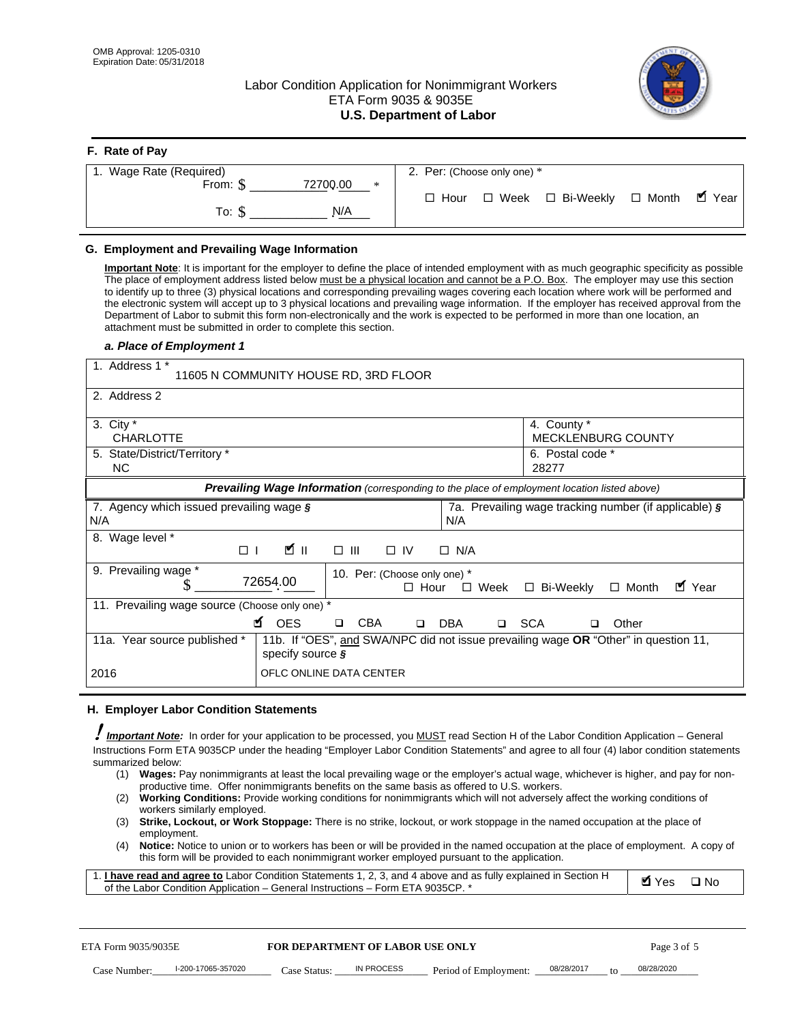# Labor Condition Application for Nonimmigrant Workers ETA Form 9035 & 9035E **U.S. Department of Labor**



| F. Rate of Pay              |                                                     |
|-----------------------------|-----------------------------------------------------|
| 1. Wage Rate (Required)     | 2. Per: (Choose only one) *                         |
| 72700.00<br>From: \$<br>$*$ | √ Year<br>□ Week □ Bi-Weekly □ Month<br>$\Box$ Hour |
| N/A<br>To: \$               |                                                     |

## **G. Employment and Prevailing Wage Information**

#### *a. Place of Employment 1*

| From: \$                                                                                                                                                                                                                                                                                                                                                                                                                                                                                                                                                                                                                                                                                                                                                                                                                                                              | 72700.00<br>$\ast$<br>To: $\S$<br>N/A                                                                                                                                                                                                                                                                                                                                                                                                                                                                                                                                                                                                                                                                                                | $\Box$ Hour                                             | $\Box$ Week $\Box$ Bi-Weekly                                   | $\blacksquare$ Year<br>$\Box$ Month |
|-----------------------------------------------------------------------------------------------------------------------------------------------------------------------------------------------------------------------------------------------------------------------------------------------------------------------------------------------------------------------------------------------------------------------------------------------------------------------------------------------------------------------------------------------------------------------------------------------------------------------------------------------------------------------------------------------------------------------------------------------------------------------------------------------------------------------------------------------------------------------|--------------------------------------------------------------------------------------------------------------------------------------------------------------------------------------------------------------------------------------------------------------------------------------------------------------------------------------------------------------------------------------------------------------------------------------------------------------------------------------------------------------------------------------------------------------------------------------------------------------------------------------------------------------------------------------------------------------------------------------|---------------------------------------------------------|----------------------------------------------------------------|-------------------------------------|
| G. Employment and Prevailing Wage Information<br>Important Note: It is important for the employer to define the place of intended employment with as much geographic specificity as possible<br>The place of employment address listed below must be a physical location and cannot be a P.O. Box. The employer may use this section<br>to identify up to three (3) physical locations and corresponding prevailing wages covering each location where work will be performed and<br>the electronic system will accept up to 3 physical locations and prevailing wage information. If the employer has received approval from the<br>Department of Labor to submit this form non-electronically and the work is expected to be performed in more than one location, an<br>attachment must be submitted in order to complete this section.<br>a. Place of Employment 1 |                                                                                                                                                                                                                                                                                                                                                                                                                                                                                                                                                                                                                                                                                                                                      |                                                         |                                                                |                                     |
| 1. Address 1 *<br>2. Address 2                                                                                                                                                                                                                                                                                                                                                                                                                                                                                                                                                                                                                                                                                                                                                                                                                                        | 11605 N COMMUNITY HOUSE RD, 3RD FLOOR                                                                                                                                                                                                                                                                                                                                                                                                                                                                                                                                                                                                                                                                                                |                                                         |                                                                |                                     |
| 3. City $*$<br><b>CHARLOTTE</b><br>5. State/District/Territory *<br><b>NC</b>                                                                                                                                                                                                                                                                                                                                                                                                                                                                                                                                                                                                                                                                                                                                                                                         |                                                                                                                                                                                                                                                                                                                                                                                                                                                                                                                                                                                                                                                                                                                                      |                                                         | 4. County *<br>MECKLENBURG COUNTY<br>6. Postal code *<br>28277 |                                     |
| 7. Agency which issued prevailing wage §<br>N/A                                                                                                                                                                                                                                                                                                                                                                                                                                                                                                                                                                                                                                                                                                                                                                                                                       | Prevailing Wage Information (corresponding to the place of employment location listed above)                                                                                                                                                                                                                                                                                                                                                                                                                                                                                                                                                                                                                                         | N/A                                                     | 7a. Prevailing wage tracking number (if applicable) §          |                                     |
| 8. Wage level *<br>$\Box$<br>9. Prevailing wage *                                                                                                                                                                                                                                                                                                                                                                                                                                                                                                                                                                                                                                                                                                                                                                                                                     | <b>M</b><br>$\Box$<br>III<br>72654.00                                                                                                                                                                                                                                                                                                                                                                                                                                                                                                                                                                                                                                                                                                | $\Box$ IV<br>$\Box$ N/A<br>10. Per: (Choose only one) * |                                                                |                                     |
| S<br>11. Prevailing wage source (Choose only one) *<br>11a. Year source published *<br>2016                                                                                                                                                                                                                                                                                                                                                                                                                                                                                                                                                                                                                                                                                                                                                                           | <b>¤</b> OES<br><b>CBA</b><br>$\Box$<br>11b. If "OES", and SWA/NPC did not issue prevailing wage OR "Other" in question 11,<br>specify source $\boldsymbol{\S}$<br>OFLC ONLINE DATA CENTER                                                                                                                                                                                                                                                                                                                                                                                                                                                                                                                                           | $\Box$ Hour<br>$\Box$ Week<br>□ SCA<br>DBA<br>$\Box$    | □ Bi-Weekly<br>□                                               | ■ Year<br>$\Box$ Month<br>Other     |
| H. Employer Labor Condition Statements<br><b>Important Note:</b> In order for your application to be processed, you MUST read Section H of the Labor Condition Application - General<br>Instructions Form ETA 9035CP under the heading "Employer Labor Condition Statements" and agree to all four (4) labor condition statements<br>summarized below:<br>(1)<br>(2)<br>workers similarly employed.<br>(3)<br>employment.<br>(4)<br>1. <i>I have read and agree to</i> Labor Condition Statements 1, 2, 3, and 4 above and as fully explained in Section H<br>of the Labor Condition Application - General Instructions - Form ETA 9035CP. *                                                                                                                                                                                                                          | Wages: Pay nonimmigrants at least the local prevailing wage or the employer's actual wage, whichever is higher, and pay for non-<br>productive time. Offer nonimmigrants benefits on the same basis as offered to U.S. workers.<br><b>Working Conditions:</b> Provide working conditions for nonimmigrants which will not adversely affect the working conditions of<br>Strike, Lockout, or Work Stoppage: There is no strike, lockout, or work stoppage in the named occupation at the place of<br>Notice: Notice to union or to workers has been or will be provided in the named occupation at the place of employment. A copy of<br>this form will be provided to each nonimmigrant worker employed pursuant to the application. |                                                         |                                                                | <b>Ø</b> Yes<br>$\square$ No        |
| ETA Form 9035/9035E<br>I-200-17065-357020<br>Case Number:                                                                                                                                                                                                                                                                                                                                                                                                                                                                                                                                                                                                                                                                                                                                                                                                             | <b>FOR DEPARTMENT OF LABOR USE ONLY</b><br>IN PROCESS<br>Case Status: .                                                                                                                                                                                                                                                                                                                                                                                                                                                                                                                                                                                                                                                              | Period of Employment:                                   | 08/28/2017                                                     | Page 3 of 5<br>08/28/2020           |

#### **H. Employer Labor Condition Statements**

- (1) **Wages:** Pay nonimmigrants at least the local prevailing wage or the employer's actual wage, whichever is higher, and pay for nonproductive time. Offer nonimmigrants benefits on the same basis as offered to U.S. workers.
- (2) **Working Conditions:** Provide working conditions for nonimmigrants which will not adversely affect the working conditions of workers similarly employed.
- (3) **Strike, Lockout, or Work Stoppage:** There is no strike, lockout, or work stoppage in the named occupation at the place of employment.
- (4) **Notice:** Notice to union or to workers has been or will be provided in the named occupation at the place of employment. A copy of this form will be provided to each nonimmigrant worker employed pursuant to the application.

| 1. I have read and agree to Labor Condition Statements 1, 2, 3, and 4 above and as fully explained in Section H | Øl Yes | $\Box$ No |
|-----------------------------------------------------------------------------------------------------------------|--------|-----------|
| of the Labor Condition Application – General Instructions – Form ETA 9035CP. *                                  |        |           |

| ETA Form 9035/9035E |                    | <b>FOR DEPARTMENT OF LABOR USE ONLY</b> |            |                                      | Page 3 of 5 |  |            |
|---------------------|--------------------|-----------------------------------------|------------|--------------------------------------|-------------|--|------------|
| Case Number:        | l-200-17065-357020 | Case Status:                            | IN PROCESS | Period of Employment: ____08/28/2017 |             |  | 08/28/2020 |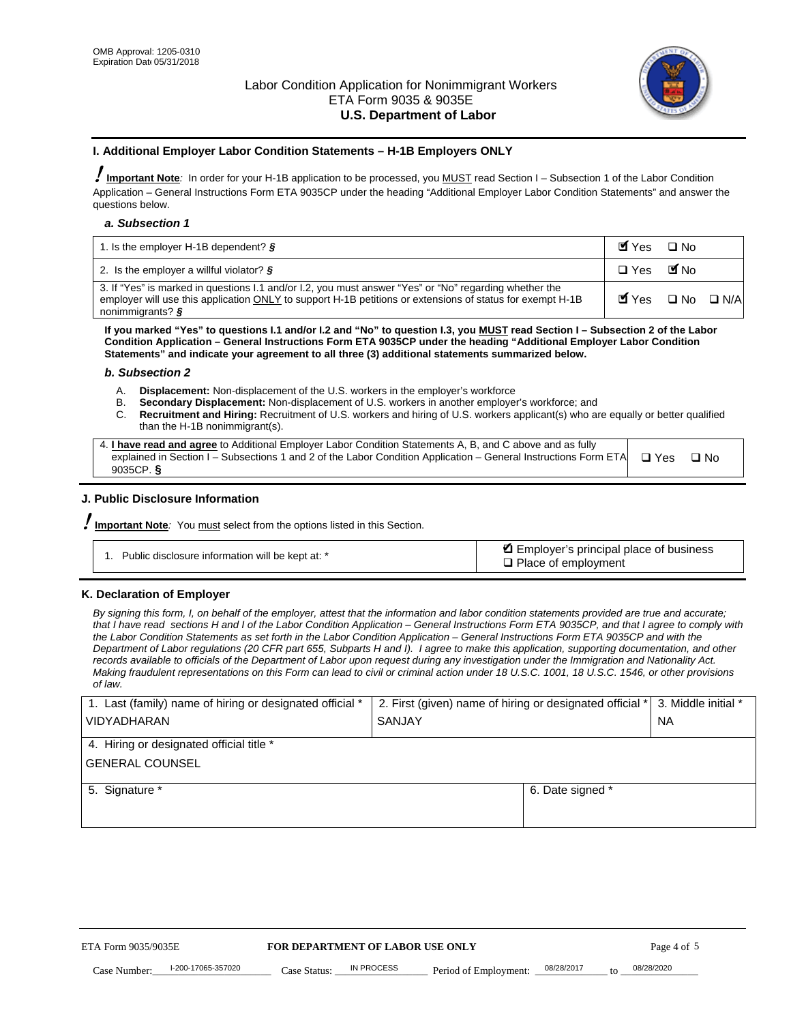

#### **I. Additional Employer Labor Condition Statements – H-1B Employers ONLY**

!**Important Note***:* In order for your H-1B application to be processed, you MUST read Section I – Subsection 1 of the Labor Condition Application – General Instructions Form ETA 9035CP under the heading "Additional Employer Labor Condition Statements" and answer the questions below.

#### *a. Subsection 1*

| 1. Is the employer H-1B dependent? $\S$                                                                                                                                                                                                 | Myes                                          | $\Box$ No              |  |
|-----------------------------------------------------------------------------------------------------------------------------------------------------------------------------------------------------------------------------------------|-----------------------------------------------|------------------------|--|
| 2. Is the employer a willful violator? $\frac{1}{2}$                                                                                                                                                                                    | $\Box$ Yes                                    | <b>M</b> <sub>No</sub> |  |
| 3. If "Yes" is marked in questions 1.1 and/or 1.2, you must answer "Yes" or "No" regarding whether the<br>employer will use this application ONLY to support H-1B petitions or extensions of status for exempt H-1B<br>nonimmigrants? § | $\blacksquare$ Yes $\square$ No $\square$ N/A |                        |  |

**If you marked "Yes" to questions I.1 and/or I.2 and "No" to question I.3, you MUST read Section I – Subsection 2 of the Labor Condition Application – General Instructions Form ETA 9035CP under the heading "Additional Employer Labor Condition Statements" and indicate your agreement to all three (3) additional statements summarized below.** 

#### *b. Subsection 2*

- A. **Displacement:** Non-displacement of the U.S. workers in the employer's workforce
- B. **Secondary Displacement:** Non-displacement of U.S. workers in another employer's workforce; and
- C. **Recruitment and Hiring:** Recruitment of U.S. workers and hiring of U.S. workers applicant(s) who are equally or better qualified than the H-1B nonimmigrant(s).

| 4. I have read and agree to Additional Employer Labor Condition Statements A, B, and C above and as fully                  |      |
|----------------------------------------------------------------------------------------------------------------------------|------|
| explained in Section I – Subsections 1 and 2 of the Labor Condition Application – General Instructions Form ETA $\Box$ Yes | ∩ Nח |
| 9035CP. $\delta$                                                                                                           |      |

# **J. Public Disclosure Information**

!**Important Note***:* You must select from the options listed in this Section.

| Public disclosure information will be kept at: * | Employer's principal place of business<br>$\Box$ Place of employment |
|--------------------------------------------------|----------------------------------------------------------------------|
|--------------------------------------------------|----------------------------------------------------------------------|

#### **K. Declaration of Employer**

*By signing this form, I, on behalf of the employer, attest that the information and labor condition statements provided are true and accurate;*  that I have read sections H and I of the Labor Condition Application – General Instructions Form ETA 9035CP, and that I agree to comply with *the Labor Condition Statements as set forth in the Labor Condition Application – General Instructions Form ETA 9035CP and with the Department of Labor regulations (20 CFR part 655, Subparts H and I). I agree to make this application, supporting documentation, and other records available to officials of the Department of Labor upon request during any investigation under the Immigration and Nationality Act. Making fraudulent representations on this Form can lead to civil or criminal action under 18 U.S.C. 1001, 18 U.S.C. 1546, or other provisions of law.* 

| 1. Last (family) name of hiring or designated official * | 2. First (given) name of hiring or designated official * |                                 | 3. Middle initial * |
|----------------------------------------------------------|----------------------------------------------------------|---------------------------------|---------------------|
| <b>VIDYADHARAN</b>                                       | <b>SANJAY</b>                                            |                                 | <b>NA</b>           |
| 4. Hiring or designated official title *                 |                                                          |                                 |                     |
| <b>GENERAL COUNSEL</b>                                   |                                                          |                                 |                     |
| 5. Signature *                                           |                                                          | 6. Date signed *                |                     |
|                                                          |                                                          |                                 |                     |
|                                                          |                                                          |                                 |                     |
|                                                          |                                                          |                                 |                     |
|                                                          |                                                          |                                 |                     |
| FOR DEPARTMENT OF LABOR USE ONLY<br>ETA Form 9035/9035E  |                                                          |                                 | Page 4 of 5         |
| I-200-17065-357020<br>Case Number<br>Case Status:        | IN PROCESS<br>Period of Employment:                      | 08/28/2017<br>$\mathsf{t} \cap$ | 08/28/2020          |